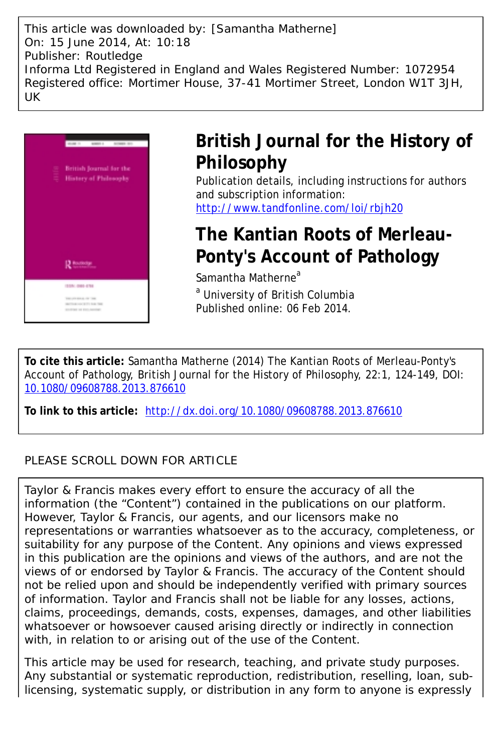This article was downloaded by: [Samantha Matherne] On: 15 June 2014, At: 10:18 Publisher: Routledge Informa Ltd Registered in England and Wales Registered Number: 1072954 Registered office: Mortimer House, 37-41 Mortimer Street, London W1T 3JH, UK



# **British Journal for the History of Philosophy**

Publication details, including instructions for authors and subscription information: <http://www.tandfonline.com/loi/rbjh20>

# **The Kantian Roots of Merleau-Ponty's Account of Pathology**

Samantha Matherne<sup>a</sup>

<sup>a</sup> University of British Columbia Published online: 06 Feb 2014.

**To cite this article:** Samantha Matherne (2014) The Kantian Roots of Merleau-Ponty's Account of Pathology, British Journal for the History of Philosophy, 22:1, 124-149, DOI: [10.1080/09608788.2013.876610](http://www.tandfonline.com/action/showCitFormats?doi=10.1080/09608788.2013.876610)

**To link to this article:** <http://dx.doi.org/10.1080/09608788.2013.876610>

# PLEASE SCROLL DOWN FOR ARTICLE

Taylor & Francis makes every effort to ensure the accuracy of all the information (the "Content") contained in the publications on our platform. However, Taylor & Francis, our agents, and our licensors make no representations or warranties whatsoever as to the accuracy, completeness, or suitability for any purpose of the Content. Any opinions and views expressed in this publication are the opinions and views of the authors, and are not the views of or endorsed by Taylor & Francis. The accuracy of the Content should not be relied upon and should be independently verified with primary sources of information. Taylor and Francis shall not be liable for any losses, actions, claims, proceedings, demands, costs, expenses, damages, and other liabilities whatsoever or howsoever caused arising directly or indirectly in connection with, in relation to or arising out of the use of the Content.

This article may be used for research, teaching, and private study purposes. Any substantial or systematic reproduction, redistribution, reselling, loan, sublicensing, systematic supply, or distribution in any form to anyone is expressly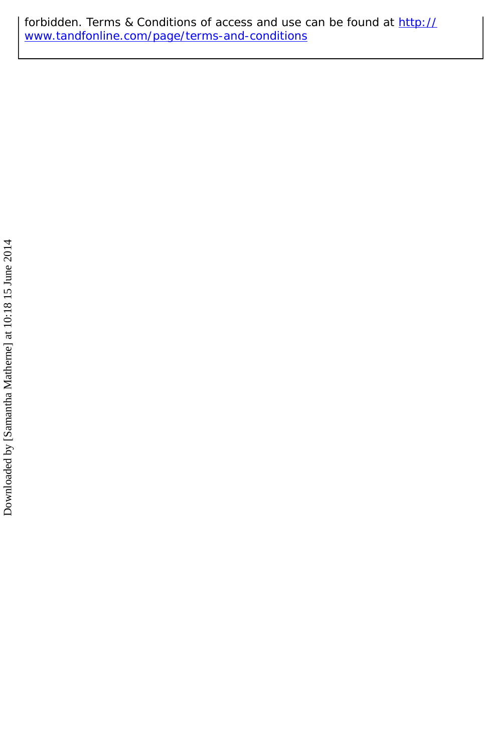forbidden. Terms & Conditions of access and use can be found at [http://](http://www.tandfonline.com/page/terms-and-conditions) [www.tandfonline.com/page/terms-and-conditions](http://www.tandfonline.com/page/terms-and-conditions)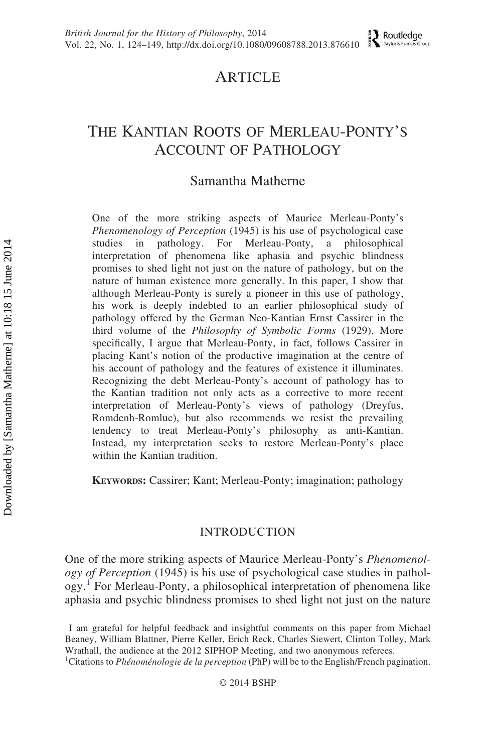# ARTICLE

# THE KANTIAN ROOTS OF MERLEAU-PONTY'S ACCOUNT OF PATHOLOGY

# Samantha Matherne

One of the more striking aspects of Maurice Merleau-Ponty's Phenomenology of Perception (1945) is his use of psychological case studies in pathology. For Merleau-Ponty, a philosophical interpretation of phenomena like aphasia and psychic blindness promises to shed light not just on the nature of pathology, but on the nature of human existence more generally. In this paper, I show that although Merleau-Ponty is surely a pioneer in this use of pathology, his work is deeply indebted to an earlier philosophical study of pathology offered by the German Neo-Kantian Ernst Cassirer in the third volume of the Philosophy of Symbolic Forms (1929). More specifically, I argue that Merleau-Ponty, in fact, follows Cassirer in placing Kant's notion of the productive imagination at the centre of his account of pathology and the features of existence it illuminates. Recognizing the debt Merleau-Ponty's account of pathology has to the Kantian tradition not only acts as a corrective to more recent interpretation of Merleau-Ponty's views of pathology (Dreyfus, Romdenh-Romluc), but also recommends we resist the prevailing tendency to treat Merleau-Ponty's philosophy as anti-Kantian. Instead, my interpretation seeks to restore Merleau-Ponty's place within the Kantian tradition.

KEYWORDS: Cassirer; Kant; Merleau-Ponty; imagination; pathology

## INTRODUCTION

One of the more striking aspects of Maurice Merleau-Ponty's Phenomenology of Perception (1945) is his use of psychological case studies in pathology.<sup>1</sup> For Merleau-Ponty, a philosophical interpretation of phenomena like aphasia and psychic blindness promises to shed light not just on the nature

I am grateful for helpful feedback and insightful comments on this paper from Michael Beaney, William Blattner, Pierre Keller, Erich Reck, Charles Siewert, Clinton Tolley, Mark Wrathall, the audience at the 2012 SIPHOP Meeting, and two anonymous referees.

<sup>&</sup>lt;sup>1</sup>Citations to *Phénoménologie de la perception* (PhP) will be to the English/French pagination.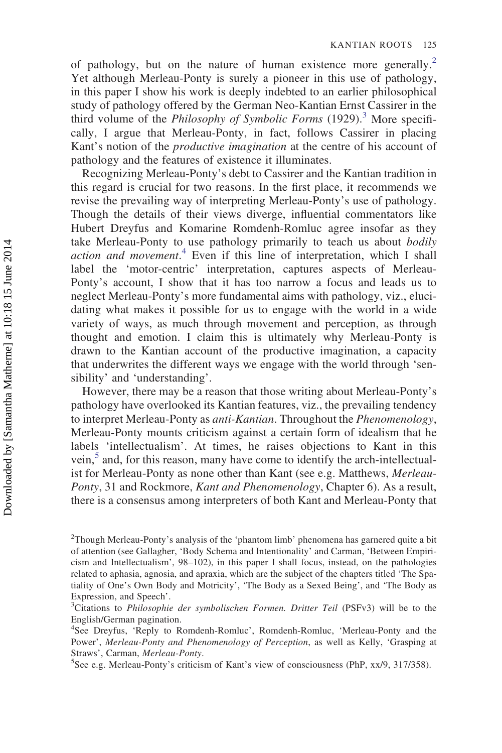of pathology, but on the nature of human existence more generally.<sup>2</sup> Yet although Merleau-Ponty is surely a pioneer in this use of pathology, in this paper I show his work is deeply indebted to an earlier philosophical study of pathology offered by the German Neo-Kantian Ernst Cassirer in the third volume of the *Philosophy of Symbolic Forms*  $(1929)$ .<sup>3</sup> More specifically, I argue that Merleau-Ponty, in fact, follows Cassirer in placing Kant's notion of the *productive imagination* at the centre of his account of pathology and the features of existence it illuminates.

Recognizing Merleau-Ponty's debt to Cassirer and the Kantian tradition in this regard is crucial for two reasons. In the first place, it recommends we revise the prevailing way of interpreting Merleau-Ponty's use of pathology. Though the details of their views diverge, influential commentators like Hubert Dreyfus and Komarine Romdenh-Romluc agree insofar as they take Merleau-Ponty to use pathology primarily to teach us about bodily action and movement.<sup>4</sup> Even if this line of interpretation, which I shall label the 'motor-centric' interpretation, captures aspects of Merleau-Ponty's account, I show that it has too narrow a focus and leads us to neglect Merleau-Ponty's more fundamental aims with pathology, viz., elucidating what makes it possible for us to engage with the world in a wide variety of ways, as much through movement and perception, as through thought and emotion. I claim this is ultimately why Merleau-Ponty is drawn to the Kantian account of the productive imagination, a capacity that underwrites the different ways we engage with the world through 'sensibility' and 'understanding'.

However, there may be a reason that those writing about Merleau-Ponty's pathology have overlooked its Kantian features, viz., the prevailing tendency to interpret Merleau-Ponty as anti-Kantian. Throughout the Phenomenology, Merleau-Ponty mounts criticism against a certain form of idealism that he labels 'intellectualism'. At times, he raises objections to Kant in this vein,<sup>5</sup> and, for this reason, many have come to identify the arch-intellectualist for Merleau-Ponty as none other than Kant (see e.g. Matthews, Merleau-Ponty, 31 and Rockmore, Kant and Phenomenology, Chapter 6). As a result, there is a consensus among interpreters of both Kant and Merleau-Ponty that

<sup>&</sup>lt;sup>2</sup>Though Merleau-Ponty's analysis of the 'phantom limb' phenomena has garnered quite a bit of attention (see Gallagher, 'Body Schema and Intentionality' and Carman, 'Between Empiricism and Intellectualism', 98–102), in this paper I shall focus, instead, on the pathologies related to aphasia, agnosia, and apraxia, which are the subject of the chapters titled 'The Spatiality of One's Own Body and Motricity', 'The Body as a Sexed Being', and 'The Body as Expression, and Speech'.

 ${}^{3}$ Citations to *Philosophie der symbolischen Formen. Dritter Teil* (PSFv3) will be to the English/German pagination.

<sup>&</sup>lt;sup>4</sup>See Dreyfus, 'Reply to Romdenh-Romluc', Romdenh-Romluc, 'Merleau-Ponty and the Power', Merleau-Ponty and Phenomenology of Perception, as well as Kelly, 'Grasping at Straws', Carman, Merleau-Ponty.

<sup>&</sup>lt;sup>5</sup>See e.g. Merleau-Ponty's criticism of Kant's view of consciousness (PhP, xx/9, 317/358).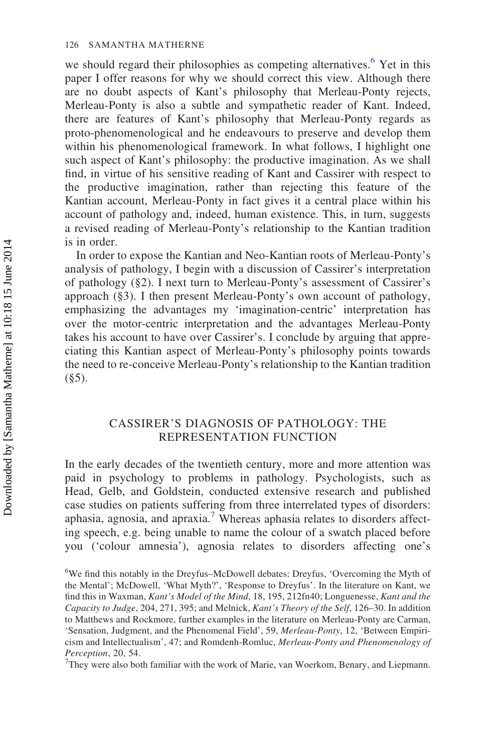we should regard their philosophies as competing alternatives.<sup>6</sup> Yet in this paper I offer reasons for why we should correct this view. Although there are no doubt aspects of Kant's philosophy that Merleau-Ponty rejects, Merleau-Ponty is also a subtle and sympathetic reader of Kant. Indeed, there are features of Kant's philosophy that Merleau-Ponty regards as proto-phenomenological and he endeavours to preserve and develop them within his phenomenological framework. In what follows, I highlight one such aspect of Kant's philosophy: the productive imagination. As we shall find, in virtue of his sensitive reading of Kant and Cassirer with respect to the productive imagination, rather than rejecting this feature of the Kantian account, Merleau-Ponty in fact gives it a central place within his account of pathology and, indeed, human existence. This, in turn, suggests a revised reading of Merleau-Ponty's relationship to the Kantian tradition is in order.

In order to expose the Kantian and Neo-Kantian roots of Merleau-Ponty's analysis of pathology, I begin with a discussion of Cassirer's interpretation of pathology (§2). I next turn to Merleau-Ponty's assessment of Cassirer's approach (§3). I then present Merleau-Ponty's own account of pathology, emphasizing the advantages my 'imagination-centric' interpretation has over the motor-centric interpretation and the advantages Merleau-Ponty takes his account to have over Cassirer's. I conclude by arguing that appreciating this Kantian aspect of Merleau-Ponty's philosophy points towards the need to re-conceive Merleau-Ponty's relationship to the Kantian tradition  $(S5)$ .

# CASSIRER'S DIAGNOSIS OF PATHOLOGY: THE REPRESENTATION FUNCTION

In the early decades of the twentieth century, more and more attention was paid in psychology to problems in pathology. Psychologists, such as Head, Gelb, and Goldstein, conducted extensive research and published case studies on patients suffering from three interrelated types of disorders: aphasia, agnosia, and apraxia.<sup>7</sup> Whereas aphasia relates to disorders affecting speech, e.g. being unable to name the colour of a swatch placed before you ('colour amnesia'), agnosia relates to disorders affecting one's

<sup>7</sup>They were also both familiar with the work of Marie, van Woerkom, Benary, and Liepmann.

<sup>&</sup>lt;sup>6</sup>We find this notably in the Dreyfus-McDowell debates: Dreyfus, 'Overcoming the Myth of the Mental'; McDowell, 'What Myth?', 'Response to Dreyfus'. In the literature on Kant, we find this in Waxman, Kant's Model of the Mind, 18, 195, 212fn40; Longuenesse, Kant and the Capacity to Judge, 204, 271, 395; and Melnick, Kant's Theory of the Self, 126–30. In addition to Matthews and Rockmore, further examples in the literature on Merleau-Ponty are Carman, 'Sensation, Judgment, and the Phenomenal Field', 59, Merleau-Ponty, 12, 'Between Empiricism and Intellectualism', 47; and Romdenh-Romluc, Merleau-Ponty and Phenomenology of Perception, 20, 54.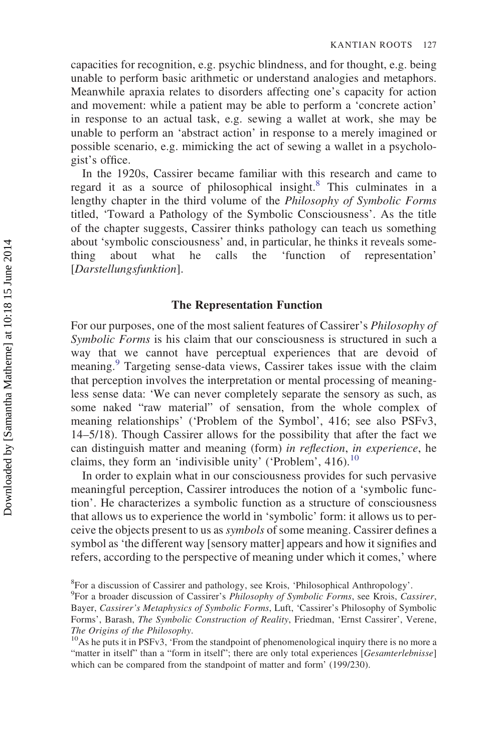capacities for recognition, e.g. psychic blindness, and for thought, e.g. being unable to perform basic arithmetic or understand analogies and metaphors. Meanwhile apraxia relates to disorders affecting one's capacity for action and movement: while a patient may be able to perform a 'concrete action' in response to an actual task, e.g. sewing a wallet at work, she may be unable to perform an 'abstract action' in response to a merely imagined or possible scenario, e.g. mimicking the act of sewing a wallet in a psychologist's office.

In the 1920s, Cassirer became familiar with this research and came to regard it as a source of philosophical insight.<sup>8</sup> This culminates in a lengthy chapter in the third volume of the Philosophy of Symbolic Forms titled, 'Toward a Pathology of the Symbolic Consciousness'. As the title of the chapter suggests, Cassirer thinks pathology can teach us something about 'symbolic consciousness' and, in particular, he thinks it reveals something about what he calls the 'function of representation' [Darstellungsfunktion].

#### The Representation Function

For our purposes, one of the most salient features of Cassirer's Philosophy of Symbolic Forms is his claim that our consciousness is structured in such a way that we cannot have perceptual experiences that are devoid of meaning.<sup>9</sup> Targeting sense-data views, Cassirer takes issue with the claim that perception involves the interpretation or mental processing of meaningless sense data: 'We can never completely separate the sensory as such, as some naked "raw material" of sensation, from the whole complex of meaning relationships' ('Problem of the Symbol', 416; see also PSFv3, 14–5/18). Though Cassirer allows for the possibility that after the fact we can distinguish matter and meaning (form) in reflection, in experience, he claims, they form an 'indivisible unity' ('Problem',  $416$ ).<sup>10</sup>

In order to explain what in our consciousness provides for such pervasive meaningful perception, Cassirer introduces the notion of a 'symbolic function'. He characterizes a symbolic function as a structure of consciousness that allows us to experience the world in 'symbolic' form: it allows us to perceive the objects present to us as symbols of some meaning. Cassirer defines a symbol as 'the different way [sensory matter] appears and how it signifies and refers, according to the perspective of meaning under which it comes,' where

<sup>&</sup>lt;sup>8</sup> For a discussion of Cassirer and pathology, see Krois, 'Philosophical Anthropology'.<br><sup>9</sup> For a broader discussion of Cassirer's *Philosophy of Symbolic Forms*, see Krois, Ca

<sup>&</sup>lt;sup>9</sup>For a broader discussion of Cassirer's Philosophy of Symbolic Forms, see Krois, Cassirer, Bayer, Cassirer's Metaphysics of Symbolic Forms, Luft, 'Cassirer's Philosophy of Symbolic Forms', Barash, The Symbolic Construction of Reality, Friedman, 'Ernst Cassirer', Verene, The Origins of the Philosophy.<br><sup>10</sup>As he puts it in PSFv3, 'From the standpoint of phenomenological inquiry there is no more a

<sup>&</sup>quot;matter in itself" than a "form in itself"; there are only total experiences [*Gesamterlebnisse*] which can be compared from the standpoint of matter and form' (199/230).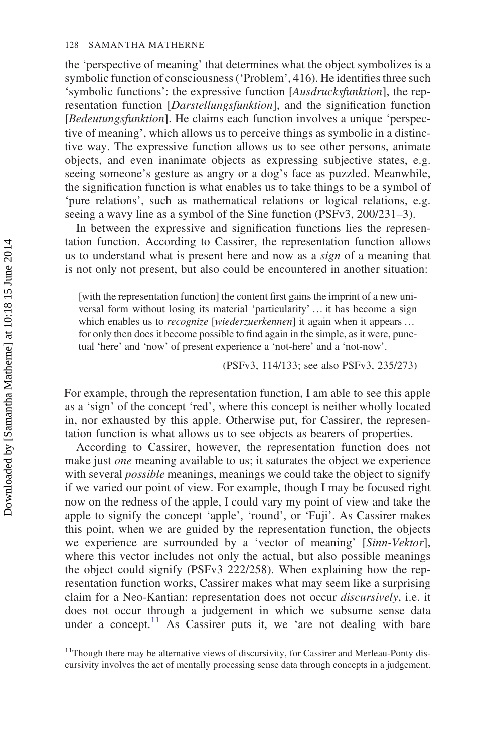the 'perspective of meaning' that determines what the object symbolizes is a symbolic function of consciousness ('Problem', 416). He identifies three such 'symbolic functions': the expressive function [Ausdrucksfunktion], the representation function [Darstellungsfunktion], and the signification function [Bedeutungsfunktion]. He claims each function involves a unique 'perspective of meaning', which allows us to perceive things as symbolic in a distinctive way. The expressive function allows us to see other persons, animate objects, and even inanimate objects as expressing subjective states, e.g. seeing someone's gesture as angry or a dog's face as puzzled. Meanwhile, the signification function is what enables us to take things to be a symbol of 'pure relations', such as mathematical relations or logical relations, e.g. seeing a wavy line as a symbol of the Sine function (PSFv3, 200/231–3).

In between the expressive and signification functions lies the representation function. According to Cassirer, the representation function allows us to understand what is present here and now as a sign of a meaning that is not only not present, but also could be encountered in another situation:

[with the representation function] the content first gains the imprint of a new universal form without losing its material 'particularity' … it has become a sign which enables us to *recognize* [wiederzuerkennen] it again when it appears ... for only then does it become possible to find again in the simple, as it were, punctual 'here' and 'now' of present experience a 'not-here' and a 'not-now'.

(PSFv3, 114/133; see also PSFv3, 235/273)

For example, through the representation function, I am able to see this apple as a 'sign' of the concept 'red', where this concept is neither wholly located in, nor exhausted by this apple. Otherwise put, for Cassirer, the representation function is what allows us to see objects as bearers of properties.

According to Cassirer, however, the representation function does not make just *one* meaning available to us; it saturates the object we experience with several *possible* meanings, meanings we could take the object to signify if we varied our point of view. For example, though I may be focused right now on the redness of the apple, I could vary my point of view and take the apple to signify the concept 'apple', 'round', or 'Fuji'. As Cassirer makes this point, when we are guided by the representation function, the objects we experience are surrounded by a 'vector of meaning' [Sinn-Vektor], where this vector includes not only the actual, but also possible meanings the object could signify (PSFv3 222/258). When explaining how the representation function works, Cassirer makes what may seem like a surprising claim for a Neo-Kantian: representation does not occur discursively, i.e. it does not occur through a judgement in which we subsume sense data under a concept.<sup>11</sup> As Cassirer puts it, we 'are not dealing with bare

<sup>&</sup>lt;sup>11</sup>Though there may be alternative views of discursivity, for Cassirer and Merleau-Ponty discursivity involves the act of mentally processing sense data through concepts in a judgement.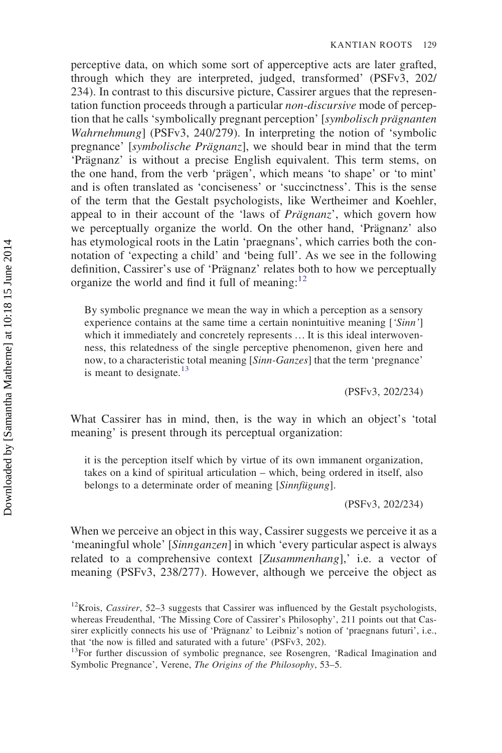perceptive data, on which some sort of apperceptive acts are later grafted, through which they are interpreted, judged, transformed' (PSFv3, 202/ 234). In contrast to this discursive picture, Cassirer argues that the representation function proceeds through a particular non-discursive mode of perception that he calls 'symbolically pregnant perception' [symbolisch prägnanten Wahrnehmung] (PSFv3, 240/279). In interpreting the notion of 'symbolic pregnance' [symbolische Prägnanz], we should bear in mind that the term 'Prägnanz' is without a precise English equivalent. This term stems, on the one hand, from the verb 'prägen', which means 'to shape' or 'to mint' and is often translated as 'conciseness' or 'succinctness'. This is the sense of the term that the Gestalt psychologists, like Wertheimer and Koehler, appeal to in their account of the 'laws of *Prägnanz*', which govern how we perceptually organize the world. On the other hand, 'Prägnanz' also has etymological roots in the Latin 'praegnans', which carries both the connotation of 'expecting a child' and 'being full'. As we see in the following definition, Cassirer's use of 'Prägnanz' relates both to how we perceptually organize the world and find it full of meaning:<sup>12</sup>

By symbolic pregnance we mean the way in which a perception as a sensory experience contains at the same time a certain nonintuitive meaning ['Sinn'] which it immediately and concretely represents ... It is this ideal interwovenness, this relatedness of the single perceptive phenomenon, given here and now, to a characteristic total meaning [Sinn-Ganzes] that the term 'pregnance' is meant to designate.<sup>13</sup>

(PSFv3, 202/234)

What Cassirer has in mind, then, is the way in which an object's 'total meaning' is present through its perceptual organization:

it is the perception itself which by virtue of its own immanent organization, takes on a kind of spiritual articulation – which, being ordered in itself, also belongs to a determinate order of meaning [Sinnfügung].

(PSFv3, 202/234)

When we perceive an object in this way, Cassirer suggests we perceive it as a 'meaningful whole' [Sinnganzen] in which 'every particular aspect is always related to a comprehensive context [Zusammenhang],' i.e. a vector of meaning (PSFv3, 238/277). However, although we perceive the object as

 $12$ Krois, Cassirer, 52–3 suggests that Cassirer was influenced by the Gestalt psychologists, whereas Freudenthal, 'The Missing Core of Cassirer's Philosophy', 211 points out that Cassirer explicitly connects his use of 'Prägnanz' to Leibniz's notion of 'praegnans futuri', i.e., that 'the now is filled and saturated with a future' (PSFv3, 202).<br><sup>13</sup>For further discussion of symbolic pregnance, see Rosengren, 'Radical Imagination and

Symbolic Pregnance', Verene, The Origins of the Philosophy, 53–5.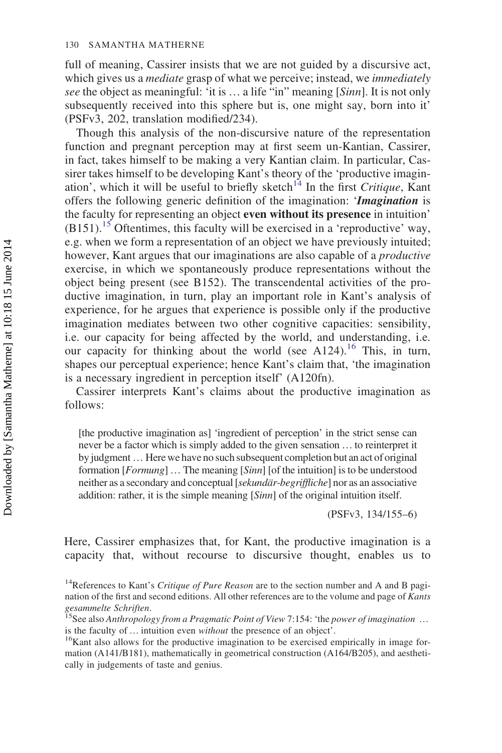full of meaning, Cassirer insists that we are not guided by a discursive act, which gives us a *mediate* grasp of what we perceive; instead, we *immediately* see the object as meaningful: 'it is ... a life "in" meaning [Sinn]. It is not only subsequently received into this sphere but is, one might say, born into it' (PSFv3, 202, translation modified/234).

Though this analysis of the non-discursive nature of the representation function and pregnant perception may at first seem un-Kantian, Cassirer, in fact, takes himself to be making a very Kantian claim. In particular, Cassirer takes himself to be developing Kant's theory of the 'productive imagination', which it will be useful to briefly sketch<sup>14</sup> In the first Critique, Kant offers the following generic definition of the imagination: 'Imagination is the faculty for representing an object even without its presence in intuition'  $(B151).$ <sup>15</sup> Oftentimes, this faculty will be exercised in a 'reproductive' way, e.g. when we form a representation of an object we have previously intuited; however, Kant argues that our imaginations are also capable of a productive exercise, in which we spontaneously produce representations without the object being present (see B152). The transcendental activities of the productive imagination, in turn, play an important role in Kant's analysis of experience, for he argues that experience is possible only if the productive imagination mediates between two other cognitive capacities: sensibility, i.e. our capacity for being affected by the world, and understanding, i.e. our capacity for thinking about the world (see A124).<sup>16</sup> This, in turn, shapes our perceptual experience; hence Kant's claim that, 'the imagination is a necessary ingredient in perception itself' (A120fn).

Cassirer interprets Kant's claims about the productive imagination as follows:

[the productive imagination as] 'ingredient of perception' in the strict sense can never be a factor which is simply added to the given sensation … to reinterpret it by judgment … Here we have no such subsequent completion but an act of original formation [*Formung*] ... The meaning [*Sinn*] [of the intuition] is to be understood neither as a secondary and conceptual [sekundär-begriffliche] nor as an associative addition: rather, it is the simple meaning [Sinn] of the original intuition itself.

(PSFv3, 134/155–6)

Here, Cassirer emphasizes that, for Kant, the productive imagination is a capacity that, without recourse to discursive thought, enables us to

<sup>&</sup>lt;sup>14</sup>References to Kant's *Critique of Pure Reason* are to the section number and A and B pagination of the first and second editions. All other references are to the volume and page of Kants gesammelte Schriften.

<sup>&</sup>lt;sup>15</sup>See also Anthropology from a Pragmatic Point of View 7:154: 'the power of imagination ... is the faculty of  $\ldots$  intuition even *without* the presence of an object'.<br><sup>16</sup>Kant also allows for the productive imagination to be exercised empirically in image for-

mation (A141/B181), mathematically in geometrical construction (A164/B205), and aesthetically in judgements of taste and genius.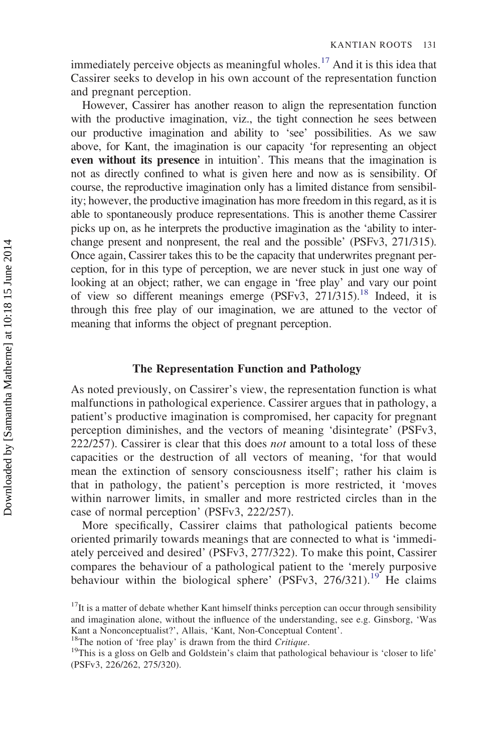immediately perceive objects as meaningful wholes.<sup>17</sup> And it is this idea that Cassirer seeks to develop in his own account of the representation function and pregnant perception.

However, Cassirer has another reason to align the representation function with the productive imagination, viz., the tight connection he sees between our productive imagination and ability to 'see' possibilities. As we saw above, for Kant, the imagination is our capacity 'for representing an object even without its presence in intuition'. This means that the imagination is not as directly confined to what is given here and now as is sensibility. Of course, the reproductive imagination only has a limited distance from sensibility; however, the productive imagination has more freedom in this regard, as it is able to spontaneously produce representations. This is another theme Cassirer picks up on, as he interprets the productive imagination as the 'ability to interchange present and nonpresent, the real and the possible' (PSFv3, 271/315). Once again, Cassirer takes this to be the capacity that underwrites pregnant perception, for in this type of perception, we are never stuck in just one way of looking at an object; rather, we can engage in 'free play' and vary our point of view so different meanings emerge (PSFv3, 271/315).<sup>18</sup> Indeed, it is through this free play of our imagination, we are attuned to the vector of meaning that informs the object of pregnant perception.

# The Representation Function and Pathology

As noted previously, on Cassirer's view, the representation function is what malfunctions in pathological experience. Cassirer argues that in pathology, a patient's productive imagination is compromised, her capacity for pregnant perception diminishes, and the vectors of meaning 'disintegrate' (PSFv3, 222/257). Cassirer is clear that this does *not* amount to a total loss of these capacities or the destruction of all vectors of meaning, 'for that would mean the extinction of sensory consciousness itself'; rather his claim is that in pathology, the patient's perception is more restricted, it 'moves within narrower limits, in smaller and more restricted circles than in the case of normal perception' (PSFv3, 222/257).

More specifically, Cassirer claims that pathological patients become oriented primarily towards meanings that are connected to what is 'immediately perceived and desired' (PSFv3, 277/322). To make this point, Cassirer compares the behaviour of a pathological patient to the 'merely purposive behaviour within the biological sphere' (PSFv3, 276/321).<sup>19</sup> He claims

 $17$ It is a matter of debate whether Kant himself thinks perception can occur through sensibility and imagination alone, without the influence of the understanding, see e.g. Ginsborg, 'Was Kant a Nonconceptualist?', Allais, 'Kant, Non-Conceptual Content'.<br><sup>18</sup>The notion of 'free play' is drawn from the third *Critique*.<br><sup>19</sup>This is a gloss on Gelb and Goldstein's claim that pathological behaviour is 'closer

<sup>(</sup>PSFv3, 226/262, 275/320).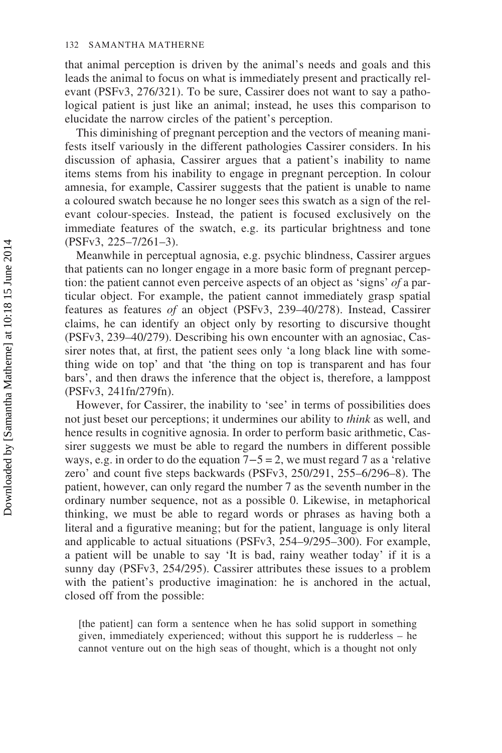that animal perception is driven by the animal's needs and goals and this leads the animal to focus on what is immediately present and practically relevant (PSFv3, 276/321). To be sure, Cassirer does not want to say a pathological patient is just like an animal; instead, he uses this comparison to elucidate the narrow circles of the patient's perception.

This diminishing of pregnant perception and the vectors of meaning manifests itself variously in the different pathologies Cassirer considers. In his discussion of aphasia, Cassirer argues that a patient's inability to name items stems from his inability to engage in pregnant perception. In colour amnesia, for example, Cassirer suggests that the patient is unable to name a coloured swatch because he no longer sees this swatch as a sign of the relevant colour-species. Instead, the patient is focused exclusively on the immediate features of the swatch, e.g. its particular brightness and tone (PSFv3, 225–7/261–3).

Meanwhile in perceptual agnosia, e.g. psychic blindness, Cassirer argues that patients can no longer engage in a more basic form of pregnant perception: the patient cannot even perceive aspects of an object as 'signs' of a particular object. For example, the patient cannot immediately grasp spatial features as features of an object (PSFv3, 239–40/278). Instead, Cassirer claims, he can identify an object only by resorting to discursive thought (PSFv3, 239–40/279). Describing his own encounter with an agnosiac, Cassirer notes that, at first, the patient sees only 'a long black line with something wide on top' and that 'the thing on top is transparent and has four bars', and then draws the inference that the object is, therefore, a lamppost (PSFv3, 241fn/279fn).

However, for Cassirer, the inability to 'see' in terms of possibilities does not just beset our perceptions; it undermines our ability to *think* as well, and hence results in cognitive agnosia. In order to perform basic arithmetic, Cassirer suggests we must be able to regard the numbers in different possible ways, e.g. in order to do the equation  $7-5=2$ , we must regard 7 as a 'relative zero' and count five steps backwards (PSFv3, 250/291, 255–6/296–8). The patient, however, can only regard the number 7 as the seventh number in the ordinary number sequence, not as a possible 0. Likewise, in metaphorical thinking, we must be able to regard words or phrases as having both a literal and a figurative meaning; but for the patient, language is only literal and applicable to actual situations (PSFv3, 254–9/295–300). For example, a patient will be unable to say 'It is bad, rainy weather today' if it is a sunny day (PSFv3, 254/295). Cassirer attributes these issues to a problem with the patient's productive imagination: he is anchored in the actual, closed off from the possible:

[the patient] can form a sentence when he has solid support in something given, immediately experienced; without this support he is rudderless – he cannot venture out on the high seas of thought, which is a thought not only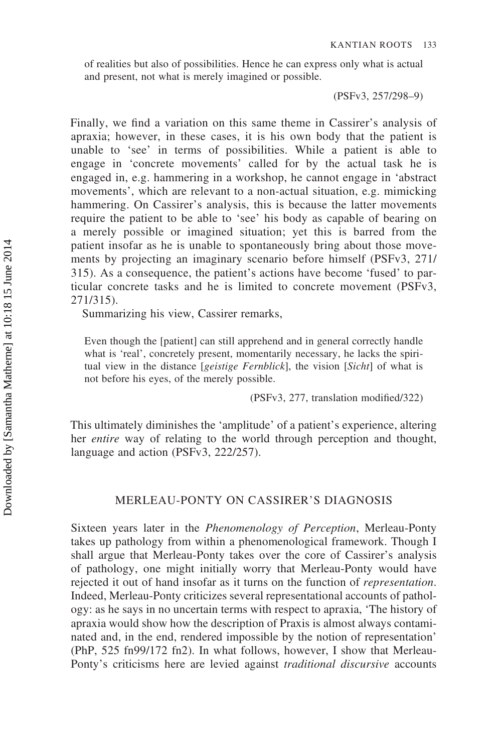of realities but also of possibilities. Hence he can express only what is actual and present, not what is merely imagined or possible.

(PSFv3, 257/298–9)

Finally, we find a variation on this same theme in Cassirer's analysis of apraxia; however, in these cases, it is his own body that the patient is unable to 'see' in terms of possibilities. While a patient is able to engage in 'concrete movements' called for by the actual task he is engaged in, e.g. hammering in a workshop, he cannot engage in 'abstract movements', which are relevant to a non-actual situation, e.g. mimicking hammering. On Cassirer's analysis, this is because the latter movements require the patient to be able to 'see' his body as capable of bearing on a merely possible or imagined situation; yet this is barred from the patient insofar as he is unable to spontaneously bring about those movements by projecting an imaginary scenario before himself (PSFv3, 271/ 315). As a consequence, the patient's actions have become 'fused' to particular concrete tasks and he is limited to concrete movement (PSFv3, 271/315).

Summarizing his view, Cassirer remarks,

Even though the [patient] can still apprehend and in general correctly handle what is 'real', concretely present, momentarily necessary, he lacks the spiritual view in the distance [geistige Fernblick], the vision [Sicht] of what is not before his eyes, of the merely possible.

(PSFv3, 277, translation modified/322)

This ultimately diminishes the 'amplitude' of a patient's experience, altering her *entire* way of relating to the world through perception and thought, language and action (PSFv3, 222/257).

### MERLEAU-PONTY ON CASSIRER'S DIAGNOSIS

Sixteen years later in the Phenomenology of Perception, Merleau-Ponty takes up pathology from within a phenomenological framework. Though I shall argue that Merleau-Ponty takes over the core of Cassirer's analysis of pathology, one might initially worry that Merleau-Ponty would have rejected it out of hand insofar as it turns on the function of representation. Indeed, Merleau-Ponty criticizes several representational accounts of pathology: as he says in no uncertain terms with respect to apraxia, 'The history of apraxia would show how the description of Praxis is almost always contaminated and, in the end, rendered impossible by the notion of representation' (PhP, 525 fn99/172 fn2). In what follows, however, I show that Merleau-Ponty's criticisms here are levied against traditional discursive accounts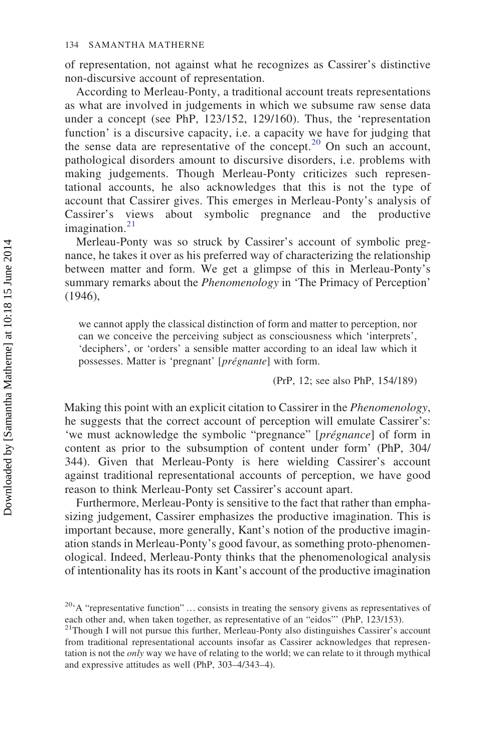of representation, not against what he recognizes as Cassirer's distinctive non-discursive account of representation.

According to Merleau-Ponty, a traditional account treats representations as what are involved in judgements in which we subsume raw sense data under a concept (see PhP, 123/152, 129/160). Thus, the 'representation function' is a discursive capacity, i.e. a capacity we have for judging that the sense data are representative of the concept.<sup>20</sup> On such an account, pathological disorders amount to discursive disorders, i.e. problems with making judgements. Though Merleau-Ponty criticizes such representational accounts, he also acknowledges that this is not the type of account that Cassirer gives. This emerges in Merleau-Ponty's analysis of Cassirer's views about symbolic pregnance and the productive imagination.<sup>21</sup>

Merleau-Ponty was so struck by Cassirer's account of symbolic pregnance, he takes it over as his preferred way of characterizing the relationship between matter and form. We get a glimpse of this in Merleau-Ponty's summary remarks about the *Phenomenology* in 'The Primacy of Perception' (1946),

we cannot apply the classical distinction of form and matter to perception, nor can we conceive the perceiving subject as consciousness which 'interprets', 'deciphers', or 'orders' a sensible matter according to an ideal law which it possesses. Matter is 'pregnant' [prégnante] with form.

(PrP, 12; see also PhP, 154/189)

Making this point with an explicit citation to Cassirer in the Phenomenology, he suggests that the correct account of perception will emulate Cassirer's: 'we must acknowledge the symbolic "pregnance" [prégnance] of form in content as prior to the subsumption of content under form' (PhP, 304/ 344). Given that Merleau-Ponty is here wielding Cassirer's account against traditional representational accounts of perception, we have good reason to think Merleau-Ponty set Cassirer's account apart.

Furthermore, Merleau-Ponty is sensitive to the fact that rather than emphasizing judgement, Cassirer emphasizes the productive imagination. This is important because, more generally, Kant's notion of the productive imagination stands in Merleau-Ponty's good favour, as something proto-phenomenological. Indeed, Merleau-Ponty thinks that the phenomenological analysis of intentionality has its roots in Kant's account of the productive imagination

 $20^{\circ}$ A "representative function" ... consists in treating the sensory givens as representatives of

each other and, when taken together, as representative of an "eidos"' (PhP, 123/153).<br><sup>21</sup>Though I will not pursue this further, Merleau-Ponty also distinguishes Cassirer's account from traditional representational accounts insofar as Cassirer acknowledges that representation is not the only way we have of relating to the world; we can relate to it through mythical and expressive attitudes as well (PhP, 303–4/343–4).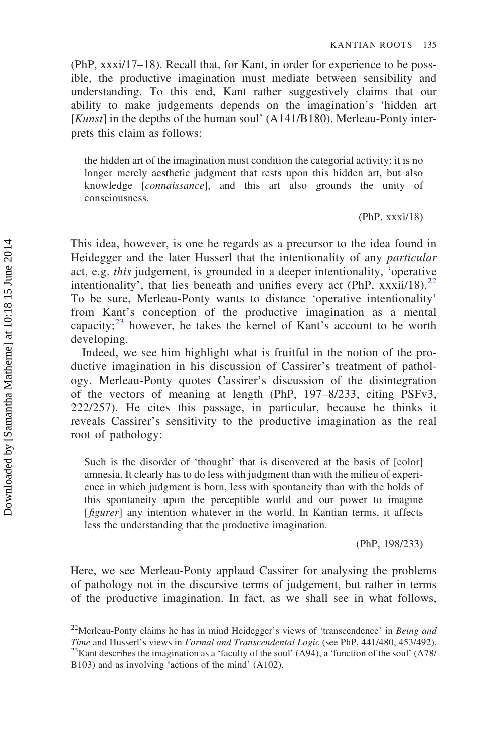(PhP, xxxi/17–18). Recall that, for Kant, in order for experience to be possible, the productive imagination must mediate between sensibility and understanding. To this end, Kant rather suggestively claims that our ability to make judgements depends on the imagination's 'hidden art [Kunst] in the depths of the human soul' (A141/B180). Merleau-Ponty interprets this claim as follows:

the hidden art of the imagination must condition the categorial activity; it is no longer merely aesthetic judgment that rests upon this hidden art, but also knowledge [connaissance], and this art also grounds the unity of consciousness.

(PhP, xxxi/18)

This idea, however, is one he regards as a precursor to the idea found in Heidegger and the later Husserl that the intentionality of any particular act, e.g. this judgement, is grounded in a deeper intentionality, 'operative intentionality', that lies beneath and unifies every act (PhP,  $xxxii/18$ ).<sup>22</sup> To be sure, Merleau-Ponty wants to distance 'operative intentionality' from Kant's conception of the productive imagination as a mental capacity;<sup>23</sup> however, he takes the kernel of Kant's account to be worth developing.

Indeed, we see him highlight what is fruitful in the notion of the productive imagination in his discussion of Cassirer's treatment of pathology. Merleau-Ponty quotes Cassirer's discussion of the disintegration of the vectors of meaning at length (PhP, 197–8/233, citing PSFv3, 222/257). He cites this passage, in particular, because he thinks it reveals Cassirer's sensitivity to the productive imagination as the real root of pathology:

Such is the disorder of 'thought' that is discovered at the basis of [color] amnesia. It clearly has to do less with judgment than with the milieu of experience in which judgment is born, less with spontaneity than with the holds of this spontaneity upon the perceptible world and our power to imagine [figurer] any intention whatever in the world. In Kantian terms, it affects less the understanding that the productive imagination.

(PhP, 198/233)

Here, we see Merleau-Ponty applaud Cassirer for analysing the problems of pathology not in the discursive terms of judgement, but rather in terms of the productive imagination. In fact, as we shall see in what follows,

<sup>&</sup>lt;sup>22</sup>Merleau-Ponty claims he has in mind Heidegger's views of 'transcendence' in *Being and* Time and Husserl's views in Formal and Transcendental Logic (see PhP, 441/480, 453/492). <sup>23</sup>Kant describes the imagination as a 'faculty of the soul' (A94), a 'function of the soul' (A78/ B103) and as involving 'actions of the mind' (A102).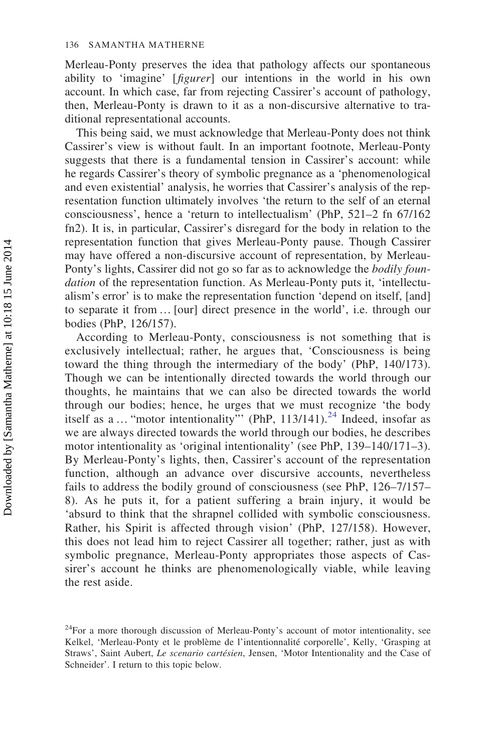Merleau-Ponty preserves the idea that pathology affects our spontaneous ability to 'imagine' [*figurer*] our intentions in the world in his own account. In which case, far from rejecting Cassirer's account of pathology, then, Merleau-Ponty is drawn to it as a non-discursive alternative to traditional representational accounts.

This being said, we must acknowledge that Merleau-Ponty does not think Cassirer's view is without fault. In an important footnote, Merleau-Ponty suggests that there is a fundamental tension in Cassirer's account: while he regards Cassirer's theory of symbolic pregnance as a 'phenomenological and even existential' analysis, he worries that Cassirer's analysis of the representation function ultimately involves 'the return to the self of an eternal consciousness', hence a 'return to intellectualism' (PhP, 521–2 fn 67/162 fn2). It is, in particular, Cassirer's disregard for the body in relation to the representation function that gives Merleau-Ponty pause. Though Cassirer may have offered a non-discursive account of representation, by Merleau-Ponty's lights, Cassirer did not go so far as to acknowledge the *bodily foun*dation of the representation function. As Merleau-Ponty puts it, 'intellectualism's error' is to make the representation function 'depend on itself, [and] to separate it from … [our] direct presence in the world', i.e. through our bodies (PhP, 126/157).

According to Merleau-Ponty, consciousness is not something that is exclusively intellectual; rather, he argues that, 'Consciousness is being toward the thing through the intermediary of the body' (PhP, 140/173). Though we can be intentionally directed towards the world through our thoughts, he maintains that we can also be directed towards the world through our bodies; hence, he urges that we must recognize 'the body itself as a ... "motor intentionality"' (PhP,  $113/141$ ).<sup>24</sup> Indeed, insofar as we are always directed towards the world through our bodies, he describes motor intentionality as 'original intentionality' (see PhP, 139–140/171–3). By Merleau-Ponty's lights, then, Cassirer's account of the representation function, although an advance over discursive accounts, nevertheless fails to address the bodily ground of consciousness (see PhP, 126–7/157– 8). As he puts it, for a patient suffering a brain injury, it would be 'absurd to think that the shrapnel collided with symbolic consciousness. Rather, his Spirit is affected through vision' (PhP, 127/158). However, this does not lead him to reject Cassirer all together; rather, just as with symbolic pregnance, Merleau-Ponty appropriates those aspects of Cassirer's account he thinks are phenomenologically viable, while leaving the rest aside.

 $24$ For a more thorough discussion of Merleau-Ponty's account of motor intentionality, see Kelkel, 'Merleau-Ponty et le problème de l'intentionnalité corporelle', Kelly, 'Grasping at Straws', Saint Aubert, Le scenario cartésien, Jensen, 'Motor Intentionality and the Case of Schneider'. I return to this topic below.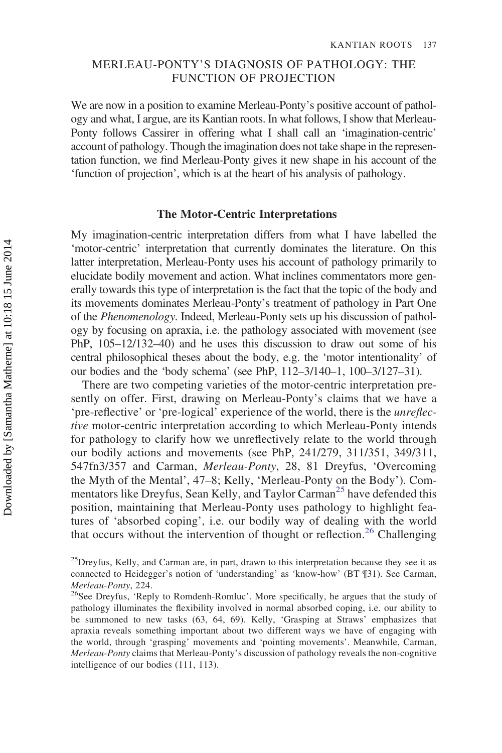# MERLEAU-PONTY'S DIAGNOSIS OF PATHOLOGY: THE FUNCTION OF PROJECTION

We are now in a position to examine Merleau-Ponty's positive account of pathology and what, I argue, are its Kantian roots. In what follows, I show that Merleau-Ponty follows Cassirer in offering what I shall call an 'imagination-centric' account of pathology. Though the imagination does not take shape in the representation function, we find Merleau-Ponty gives it new shape in his account of the 'function of projection', which is at the heart of his analysis of pathology.

#### The Motor-Centric Interpretations

My imagination-centric interpretation differs from what I have labelled the 'motor-centric' interpretation that currently dominates the literature. On this latter interpretation, Merleau-Ponty uses his account of pathology primarily to elucidate bodily movement and action. What inclines commentators more generally towards this type of interpretation is the fact that the topic of the body and its movements dominates Merleau-Ponty's treatment of pathology in Part One of the Phenomenology. Indeed, Merleau-Ponty sets up his discussion of pathology by focusing on apraxia, i.e. the pathology associated with movement (see PhP, 105–12/132–40) and he uses this discussion to draw out some of his central philosophical theses about the body, e.g. the 'motor intentionality' of our bodies and the 'body schema' (see PhP, 112–3/140–1, 100–3/127–31).

There are two competing varieties of the motor-centric interpretation presently on offer. First, drawing on Merleau-Ponty's claims that we have a 'pre-reflective' or 'pre-logical' experience of the world, there is the unreflective motor-centric interpretation according to which Merleau-Ponty intends for pathology to clarify how we unreflectively relate to the world through our bodily actions and movements (see PhP, 241/279, 311/351, 349/311, 547fn3/357 and Carman, Merleau-Ponty, 28, 81 Dreyfus, 'Overcoming the Myth of the Mental', 47–8; Kelly, 'Merleau-Ponty on the Body'). Commentators like Dreyfus, Sean Kelly, and Taylor Carman<sup>25</sup> have defended this position, maintaining that Merleau-Ponty uses pathology to highlight features of 'absorbed coping', i.e. our bodily way of dealing with the world that occurs without the intervention of thought or reflection.<sup>26</sup> Challenging

<sup>&</sup>lt;sup>25</sup>Dreyfus, Kelly, and Carman are, in part, drawn to this interpretation because they see it as connected to Heidegger's notion of 'understanding' as 'know-how' (BT ¶31). See Carman, *Merleau-Ponty*, 224.<br><sup>26</sup>See Dreyfus, 'Reply to Romdenh-Romluc'. More specifically, he argues that the study of

pathology illuminates the flexibility involved in normal absorbed coping, i.e. our ability to be summoned to new tasks (63, 64, 69). Kelly, 'Grasping at Straws' emphasizes that apraxia reveals something important about two different ways we have of engaging with the world, through 'grasping' movements and 'pointing movements'. Meanwhile, Carman, Merleau-Ponty claims that Merleau-Ponty's discussion of pathology reveals the non-cognitive intelligence of our bodies (111, 113).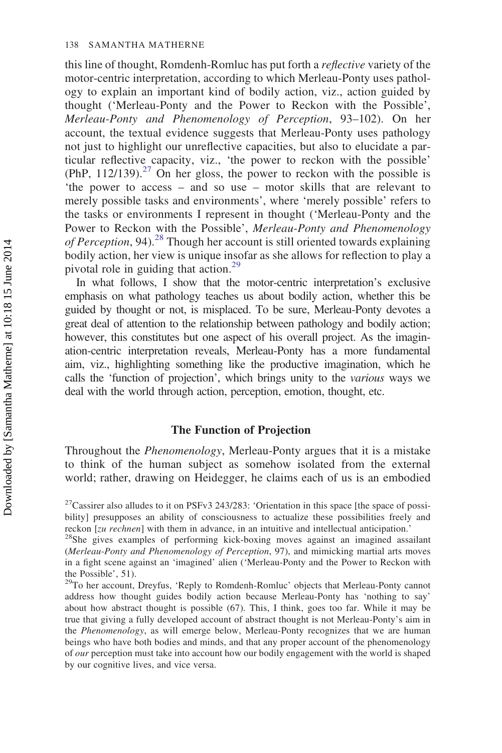this line of thought, Romdenh-Romluc has put forth a reflective variety of the motor-centric interpretation, according to which Merleau-Ponty uses pathology to explain an important kind of bodily action, viz., action guided by thought ('Merleau-Ponty and the Power to Reckon with the Possible', Merleau-Ponty and Phenomenology of Perception, 93–102). On her account, the textual evidence suggests that Merleau-Ponty uses pathology not just to highlight our unreflective capacities, but also to elucidate a particular reflective capacity, viz., 'the power to reckon with the possible' (PhP,  $112/139$ ).<sup>27</sup> On her gloss, the power to reckon with the possible is 'the power to access – and so use – motor skills that are relevant to merely possible tasks and environments', where 'merely possible' refers to the tasks or environments I represent in thought ('Merleau-Ponty and the Power to Reckon with the Possible', Merleau-Ponty and Phenomenology of Perception, 94).<sup>28</sup> Though her account is still oriented towards explaining bodily action, her view is unique insofar as she allows for reflection to play a pivotal role in guiding that action.<sup>29</sup>

In what follows, I show that the motor-centric interpretation's exclusive emphasis on what pathology teaches us about bodily action, whether this be guided by thought or not, is misplaced. To be sure, Merleau-Ponty devotes a great deal of attention to the relationship between pathology and bodily action; however, this constitutes but one aspect of his overall project. As the imagination-centric interpretation reveals, Merleau-Ponty has a more fundamental aim, viz., highlighting something like the productive imagination, which he calls the 'function of projection', which brings unity to the various ways we deal with the world through action, perception, emotion, thought, etc.

#### The Function of Projection

Throughout the Phenomenology, Merleau-Ponty argues that it is a mistake to think of the human subject as somehow isolated from the external world; rather, drawing on Heidegger, he claims each of us is an embodied

 $27$ Cassirer also alludes to it on PSFv3 243/283: 'Orientation in this space [the space of possibility] presupposes an ability of consciousness to actualize these possibilities freely and

reckon  $[zu$  *rechnen*] with them in advance, in an intuitive and intellectual anticipation.' <sup>28</sup>She gives examples of performing kick-boxing moves against an imagined assailant (Merleau-Ponty and Phenomenology of Perception, 97), and mimicking martial arts moves in a fight scene against an 'imagined' alien ('Merleau-Ponty and the Power to Reckon with the Possible', 51).<br><sup>29</sup>To her account, Dreyfus, 'Reply to Romdenh-Romluc' objects that Merleau-Ponty cannot

address how thought guides bodily action because Merleau-Ponty has 'nothing to say' about how abstract thought is possible (67). This, I think, goes too far. While it may be true that giving a fully developed account of abstract thought is not Merleau-Ponty's aim in the Phenomenology, as will emerge below, Merleau-Ponty recognizes that we are human beings who have both bodies and minds, and that any proper account of the phenomenology of our perception must take into account how our bodily engagement with the world is shaped by our cognitive lives, and vice versa.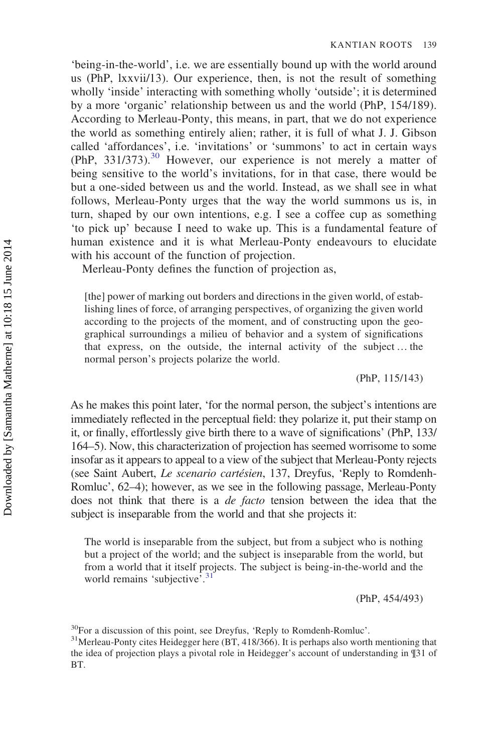'being-in-the-world', i.e. we are essentially bound up with the world around us (PhP, lxxvii/13). Our experience, then, is not the result of something wholly 'inside' interacting with something wholly 'outside'; it is determined by a more 'organic' relationship between us and the world (PhP, 154/189). According to Merleau-Ponty, this means, in part, that we do not experience the world as something entirely alien; rather, it is full of what J. J. Gibson called 'affordances', i.e. 'invitations' or 'summons' to act in certain ways (PhP, 331/373).<sup>30</sup> However, our experience is not merely a matter of being sensitive to the world's invitations, for in that case, there would be but a one-sided between us and the world. Instead, as we shall see in what follows, Merleau-Ponty urges that the way the world summons us is, in turn, shaped by our own intentions, e.g. I see a coffee cup as something 'to pick up' because I need to wake up. This is a fundamental feature of human existence and it is what Merleau-Ponty endeavours to elucidate with his account of the function of projection.

Merleau-Ponty defines the function of projection as,

[the] power of marking out borders and directions in the given world, of establishing lines of force, of arranging perspectives, of organizing the given world according to the projects of the moment, and of constructing upon the geographical surroundings a milieu of behavior and a system of significations that express, on the outside, the internal activity of the subject … the normal person's projects polarize the world.

(PhP, 115/143)

As he makes this point later, 'for the normal person, the subject's intentions are immediately reflected in the perceptual field: they polarize it, put their stamp on it, or finally, effortlessly give birth there to a wave of significations' (PhP, 133/ 164–5). Now, this characterization of projection has seemed worrisome to some insofar as it appears to appeal to a view of the subject that Merleau-Ponty rejects (see Saint Aubert, Le scenario cartésien, 137, Dreyfus, 'Reply to Romdenh-Romluc', 62–4); however, as we see in the following passage, Merleau-Ponty does not think that there is a *de facto* tension between the idea that the subject is inseparable from the world and that she projects it:

The world is inseparable from the subject, but from a subject who is nothing but a project of the world; and the subject is inseparable from the world, but from a world that it itself projects. The subject is being-in-the-world and the world remains 'subjective'. 31

(PhP, 454/493)

 $30^3$ For a discussion of this point, see Dreyfus, 'Reply to Romdenh-Romluc'.<br> $31$ Merleau-Ponty cites Heidegger here (BT, 418/366). It is perhaps also worth mentioning that the idea of projection plays a pivotal role in Heidegger's account of understanding in ¶31 of BT.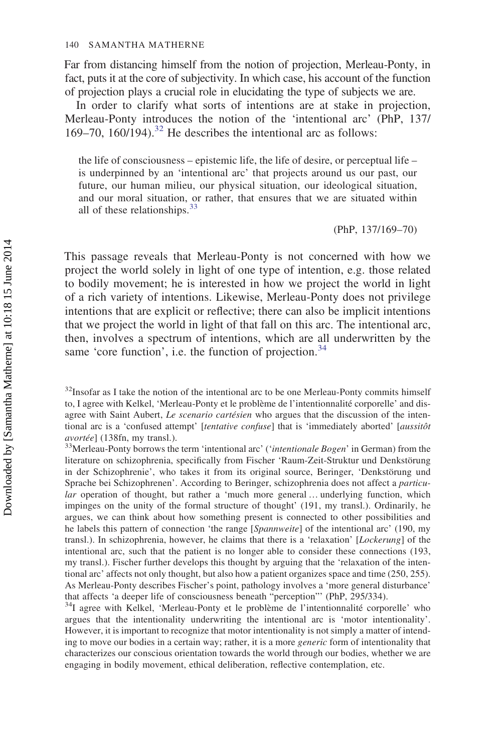Far from distancing himself from the notion of projection, Merleau-Ponty, in fact, puts it at the core of subjectivity. In which case, his account of the function of projection plays a crucial role in elucidating the type of subjects we are.

In order to clarify what sorts of intentions are at stake in projection, Merleau-Ponty introduces the notion of the 'intentional arc' (PhP, 137/ 169–70, 160/194).<sup>32</sup> He describes the intentional arc as follows:

the life of consciousness – epistemic life, the life of desire, or perceptual life – is underpinned by an 'intentional arc' that projects around us our past, our future, our human milieu, our physical situation, our ideological situation, and our moral situation, or rather, that ensures that we are situated within all of these relationships.<sup>33</sup>

(PhP, 137/169–70)

This passage reveals that Merleau-Ponty is not concerned with how we project the world solely in light of one type of intention, e.g. those related to bodily movement; he is interested in how we project the world in light of a rich variety of intentions. Likewise, Merleau-Ponty does not privilege intentions that are explicit or reflective; there can also be implicit intentions that we project the world in light of that fall on this arc. The intentional arc, then, involves a spectrum of intentions, which are all underwritten by the same 'core function', i.e. the function of projection.<sup>34</sup>

<sup>34</sup>I agree with Kelkel, 'Merleau-Ponty et le problème de l'intentionnalité corporelle' who argues that the intentionality underwriting the intentional arc is 'motor intentionality'. However, it is important to recognize that motor intentionality is not simply a matter of intending to move our bodies in a certain way; rather, it is a more *generic* form of intentionality that characterizes our conscious orientation towards the world through our bodies, whether we are engaging in bodily movement, ethical deliberation, reflective contemplation, etc.

 $32$ Insofar as I take the notion of the intentional arc to be one Merleau-Ponty commits himself to, I agree with Kelkel, 'Merleau-Ponty et le problème de l'intentionnalité corporelle' and disagree with Saint Aubert, Le scenario cartésien who argues that the discussion of the intentional arc is a 'confused attempt' [tentative confuse] that is 'immediately aborted' [aussitôt avortée] (138fn, my transl.).  $33$ Merleau-Ponty borrows the term 'intentional arc' ('*intentionale Bogen*' in German) from the

literature on schizophrenia, specifically from Fischer 'Raum-Zeit-Struktur und Denkstörung in der Schizophrenie', who takes it from its original source, Beringer, 'Denkstörung und Sprache bei Schizophrenen'. According to Beringer, schizophrenia does not affect a particular operation of thought, but rather a 'much more general ... underlying function, which impinges on the unity of the formal structure of thought' (191, my transl.). Ordinarily, he argues, we can think about how something present is connected to other possibilities and he labels this pattern of connection 'the range [Spannweite] of the intentional arc' (190, my transl.). In schizophrenia, however, he claims that there is a 'relaxation' [Lockerung] of the intentional arc, such that the patient is no longer able to consider these connections (193, my transl.). Fischer further develops this thought by arguing that the 'relaxation of the intentional arc' affects not only thought, but also how a patient organizes space and time (250, 255). As Merleau-Ponty describes Fischer's point, pathology involves a 'more general disturbance'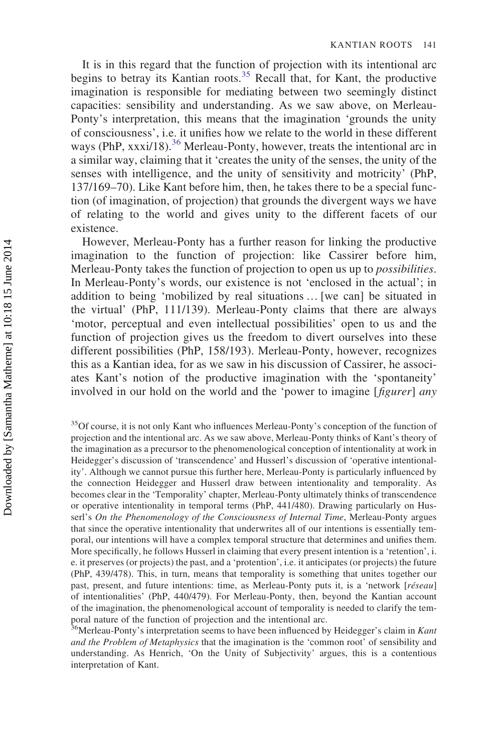It is in this regard that the function of projection with its intentional arc begins to betray its Kantian roots.<sup>35</sup> Recall that, for Kant, the productive imagination is responsible for mediating between two seemingly distinct capacities: sensibility and understanding. As we saw above, on Merleau-Ponty's interpretation, this means that the imagination 'grounds the unity of consciousness', i.e. it unifies how we relate to the world in these different ways (PhP,  $xxxi/18$ ).<sup>36</sup> Merleau-Ponty, however, treats the intentional arc in a similar way, claiming that it 'creates the unity of the senses, the unity of the senses with intelligence, and the unity of sensitivity and motricity' (PhP, 137/169–70). Like Kant before him, then, he takes there to be a special function (of imagination, of projection) that grounds the divergent ways we have of relating to the world and gives unity to the different facets of our existence.

However, Merleau-Ponty has a further reason for linking the productive imagination to the function of projection: like Cassirer before him, Merleau-Ponty takes the function of projection to open us up to possibilities. In Merleau-Ponty's words, our existence is not 'enclosed in the actual'; in addition to being 'mobilized by real situations … [we can] be situated in the virtual' (PhP, 111/139). Merleau-Ponty claims that there are always 'motor, perceptual and even intellectual possibilities' open to us and the function of projection gives us the freedom to divert ourselves into these different possibilities (PhP, 158/193). Merleau-Ponty, however, recognizes this as a Kantian idea, for as we saw in his discussion of Cassirer, he associates Kant's notion of the productive imagination with the 'spontaneity' involved in our hold on the world and the 'power to imagine [figurer] any

<sup>35</sup>Of course, it is not only Kant who influences Merleau-Ponty's conception of the function of projection and the intentional arc. As we saw above, Merleau-Ponty thinks of Kant's theory of the imagination as a precursor to the phenomenological conception of intentionality at work in Heidegger's discussion of 'transcendence' and Husserl's discussion of 'operative intentionality'. Although we cannot pursue this further here, Merleau-Ponty is particularly influenced by the connection Heidegger and Husserl draw between intentionality and temporality. As becomes clear in the 'Temporality' chapter, Merleau-Ponty ultimately thinks of transcendence or operative intentionality in temporal terms (PhP, 441/480). Drawing particularly on Husserl's On the Phenomenology of the Consciousness of Internal Time, Merleau-Ponty argues that since the operative intentionality that underwrites all of our intentions is essentially temporal, our intentions will have a complex temporal structure that determines and unifies them. More specifically, he follows Husserl in claiming that every present intention is a 'retention', i. e. it preserves (or projects) the past, and a 'protention', i.e. it anticipates (or projects) the future (PhP, 439/478). This, in turn, means that temporality is something that unites together our past, present, and future intentions: time, as Merleau-Ponty puts it, is a 'network [*réseau*] of intentionalities' (PhP, 440/479). For Merleau-Ponty, then, beyond the Kantian account of the imagination, the phenomenological account of temporality is needed to clarify the tem-

poral nature of the function of projection and the intentional arc.<br><sup>36</sup>Merleau-Ponty's interpretation seems to have been influenced by Heidegger's claim in *Kant* and the Problem of Metaphysics that the imagination is the 'common root' of sensibility and understanding. As Henrich, 'On the Unity of Subjectivity' argues, this is a contentious interpretation of Kant.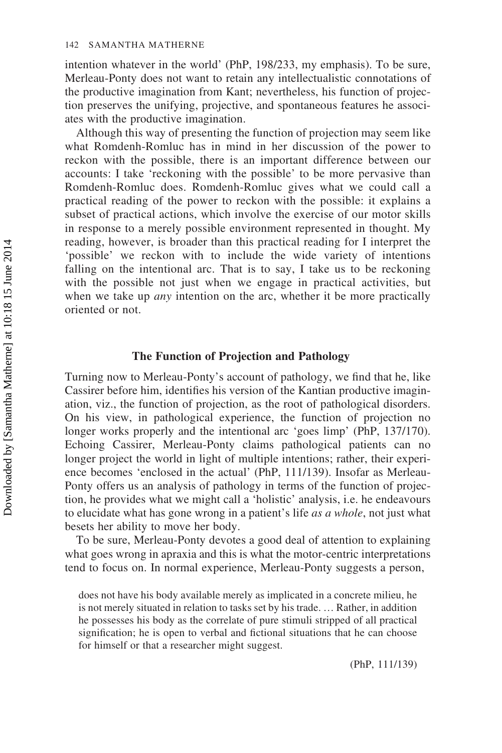intention whatever in the world' (PhP, 198/233, my emphasis). To be sure, Merleau-Ponty does not want to retain any intellectualistic connotations of the productive imagination from Kant; nevertheless, his function of projection preserves the unifying, projective, and spontaneous features he associates with the productive imagination.

Although this way of presenting the function of projection may seem like what Romdenh-Romluc has in mind in her discussion of the power to reckon with the possible, there is an important difference between our accounts: I take 'reckoning with the possible' to be more pervasive than Romdenh-Romluc does. Romdenh-Romluc gives what we could call a practical reading of the power to reckon with the possible: it explains a subset of practical actions, which involve the exercise of our motor skills in response to a merely possible environment represented in thought. My reading, however, is broader than this practical reading for I interpret the 'possible' we reckon with to include the wide variety of intentions falling on the intentional arc. That is to say, I take us to be reckoning with the possible not just when we engage in practical activities, but when we take up *any* intention on the arc, whether it be more practically oriented or not.

#### The Function of Projection and Pathology

Turning now to Merleau-Ponty's account of pathology, we find that he, like Cassirer before him, identifies his version of the Kantian productive imagination, viz., the function of projection, as the root of pathological disorders. On his view, in pathological experience, the function of projection no longer works properly and the intentional arc 'goes limp' (PhP, 137/170). Echoing Cassirer, Merleau-Ponty claims pathological patients can no longer project the world in light of multiple intentions; rather, their experience becomes 'enclosed in the actual' (PhP, 111/139). Insofar as Merleau-Ponty offers us an analysis of pathology in terms of the function of projection, he provides what we might call a 'holistic' analysis, i.e. he endeavours to elucidate what has gone wrong in a patient's life as a whole, not just what besets her ability to move her body.

To be sure, Merleau-Ponty devotes a good deal of attention to explaining what goes wrong in apraxia and this is what the motor-centric interpretations tend to focus on. In normal experience, Merleau-Ponty suggests a person,

does not have his body available merely as implicated in a concrete milieu, he is not merely situated in relation to tasks set by his trade. … Rather, in addition he possesses his body as the correlate of pure stimuli stripped of all practical signification; he is open to verbal and fictional situations that he can choose for himself or that a researcher might suggest.

(PhP, 111/139)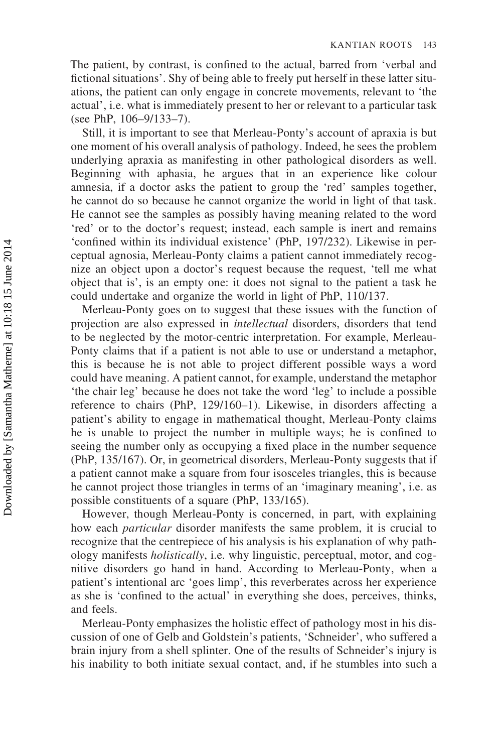The patient, by contrast, is confined to the actual, barred from 'verbal and fictional situations'. Shy of being able to freely put herself in these latter situations, the patient can only engage in concrete movements, relevant to 'the actual', i.e. what is immediately present to her or relevant to a particular task (see PhP, 106–9/133–7).

Still, it is important to see that Merleau-Ponty's account of apraxia is but one moment of his overall analysis of pathology. Indeed, he sees the problem underlying apraxia as manifesting in other pathological disorders as well. Beginning with aphasia, he argues that in an experience like colour amnesia, if a doctor asks the patient to group the 'red' samples together, he cannot do so because he cannot organize the world in light of that task. He cannot see the samples as possibly having meaning related to the word 'red' or to the doctor's request; instead, each sample is inert and remains 'confined within its individual existence' (PhP, 197/232). Likewise in perceptual agnosia, Merleau-Ponty claims a patient cannot immediately recognize an object upon a doctor's request because the request, 'tell me what object that is', is an empty one: it does not signal to the patient a task he could undertake and organize the world in light of PhP, 110/137.

Merleau-Ponty goes on to suggest that these issues with the function of projection are also expressed in intellectual disorders, disorders that tend to be neglected by the motor-centric interpretation. For example, Merleau-Ponty claims that if a patient is not able to use or understand a metaphor, this is because he is not able to project different possible ways a word could have meaning. A patient cannot, for example, understand the metaphor 'the chair leg' because he does not take the word 'leg' to include a possible reference to chairs (PhP, 129/160–1). Likewise, in disorders affecting a patient's ability to engage in mathematical thought, Merleau-Ponty claims he is unable to project the number in multiple ways; he is confined to seeing the number only as occupying a fixed place in the number sequence (PhP, 135/167). Or, in geometrical disorders, Merleau-Ponty suggests that if a patient cannot make a square from four isosceles triangles, this is because he cannot project those triangles in terms of an 'imaginary meaning', i.e. as possible constituents of a square (PhP, 133/165).

However, though Merleau-Ponty is concerned, in part, with explaining how each *particular* disorder manifests the same problem, it is crucial to recognize that the centrepiece of his analysis is his explanation of why pathology manifests holistically, i.e. why linguistic, perceptual, motor, and cognitive disorders go hand in hand. According to Merleau-Ponty, when a patient's intentional arc 'goes limp', this reverberates across her experience as she is 'confined to the actual' in everything she does, perceives, thinks, and feels.

Merleau-Ponty emphasizes the holistic effect of pathology most in his discussion of one of Gelb and Goldstein's patients, 'Schneider', who suffered a brain injury from a shell splinter. One of the results of Schneider's injury is his inability to both initiate sexual contact, and, if he stumbles into such a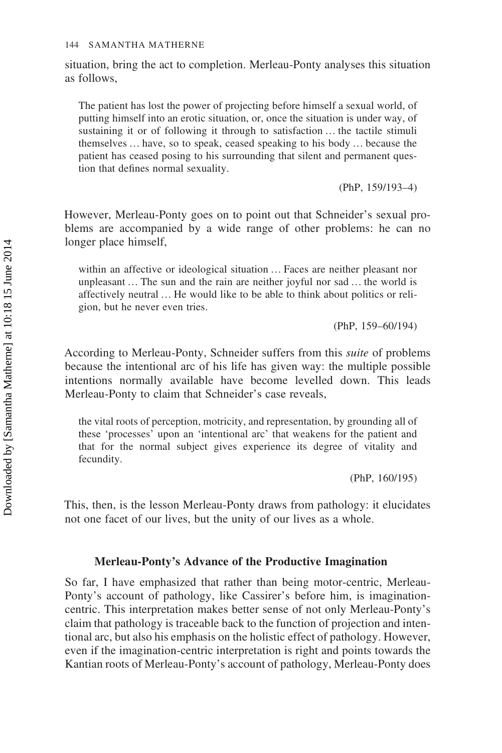situation, bring the act to completion. Merleau-Ponty analyses this situation as follows,

The patient has lost the power of projecting before himself a sexual world, of putting himself into an erotic situation, or, once the situation is under way, of sustaining it or of following it through to satisfaction … the tactile stimuli themselves … have, so to speak, ceased speaking to his body … because the patient has ceased posing to his surrounding that silent and permanent question that defines normal sexuality.

(PhP, 159/193–4)

However, Merleau-Ponty goes on to point out that Schneider's sexual problems are accompanied by a wide range of other problems: he can no longer place himself,

within an affective or ideological situation … Faces are neither pleasant nor unpleasant … The sun and the rain are neither joyful nor sad … the world is affectively neutral … He would like to be able to think about politics or religion, but he never even tries.

(PhP, 159–60/194)

According to Merleau-Ponty, Schneider suffers from this suite of problems because the intentional arc of his life has given way: the multiple possible intentions normally available have become levelled down. This leads Merleau-Ponty to claim that Schneider's case reveals,

the vital roots of perception, motricity, and representation, by grounding all of these 'processes' upon an 'intentional arc' that weakens for the patient and that for the normal subject gives experience its degree of vitality and fecundity.

(PhP, 160/195)

This, then, is the lesson Merleau-Ponty draws from pathology: it elucidates not one facet of our lives, but the unity of our lives as a whole.

#### Merleau-Ponty's Advance of the Productive Imagination

So far, I have emphasized that rather than being motor-centric, Merleau-Ponty's account of pathology, like Cassirer's before him, is imaginationcentric. This interpretation makes better sense of not only Merleau-Ponty's claim that pathology is traceable back to the function of projection and intentional arc, but also his emphasis on the holistic effect of pathology. However, even if the imagination-centric interpretation is right and points towards the Kantian roots of Merleau-Ponty's account of pathology, Merleau-Ponty does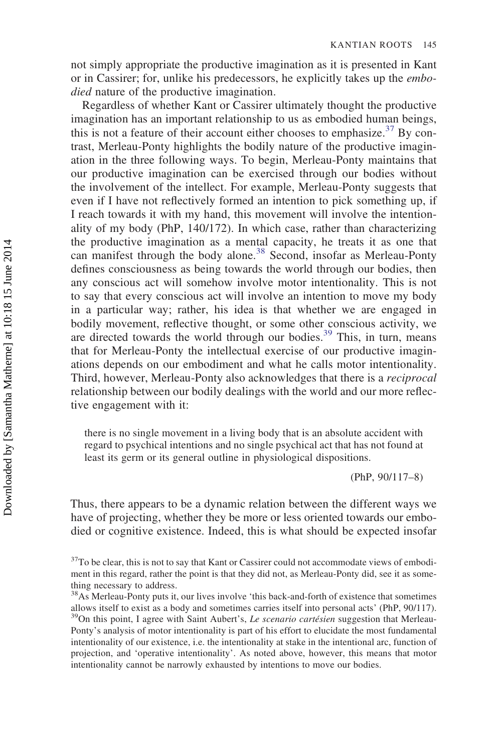not simply appropriate the productive imagination as it is presented in Kant or in Cassirer; for, unlike his predecessors, he explicitly takes up the embodied nature of the productive imagination.

Regardless of whether Kant or Cassirer ultimately thought the productive imagination has an important relationship to us as embodied human beings, this is not a feature of their account either chooses to emphasize.<sup>37</sup> By contrast, Merleau-Ponty highlights the bodily nature of the productive imagination in the three following ways. To begin, Merleau-Ponty maintains that our productive imagination can be exercised through our bodies without the involvement of the intellect. For example, Merleau-Ponty suggests that even if I have not reflectively formed an intention to pick something up, if I reach towards it with my hand, this movement will involve the intentionality of my body (PhP, 140/172). In which case, rather than characterizing the productive imagination as a mental capacity, he treats it as one that can manifest through the body alone.<sup>38</sup> Second, insofar as Merleau-Ponty defines consciousness as being towards the world through our bodies, then any conscious act will somehow involve motor intentionality. This is not to say that every conscious act will involve an intention to move my body in a particular way; rather, his idea is that whether we are engaged in bodily movement, reflective thought, or some other conscious activity, we are directed towards the world through our bodies.<sup>39</sup> This, in turn, means that for Merleau-Ponty the intellectual exercise of our productive imaginations depends on our embodiment and what he calls motor intentionality. Third, however, Merleau-Ponty also acknowledges that there is a *reciprocal* relationship between our bodily dealings with the world and our more reflective engagement with it:

there is no single movement in a living body that is an absolute accident with regard to psychical intentions and no single psychical act that has not found at least its germ or its general outline in physiological dispositions.

(PhP, 90/117–8)

Thus, there appears to be a dynamic relation between the different ways we have of projecting, whether they be more or less oriented towards our embodied or cognitive existence. Indeed, this is what should be expected insofar

 $37$ To be clear, this is not to say that Kant or Cassirer could not accommodate views of embodiment in this regard, rather the point is that they did not, as Merleau-Ponty did, see it as something necessary to address.

<sup>&</sup>lt;sup>38</sup>As Merleau-Ponty puts it, our lives involve 'this back-and-forth of existence that sometimes allows itself to exist as a body and sometimes carries itself into personal acts' (PhP, 90/117).  $39$ On this point, I agree with Saint Aubert's, Le scenario cartésien suggestion that Merleau-Ponty's analysis of motor intentionality is part of his effort to elucidate the most fundamental intentionality of our existence, i.e. the intentionality at stake in the intentional arc, function of projection, and 'operative intentionality'. As noted above, however, this means that motor intentionality cannot be narrowly exhausted by intentions to move our bodies.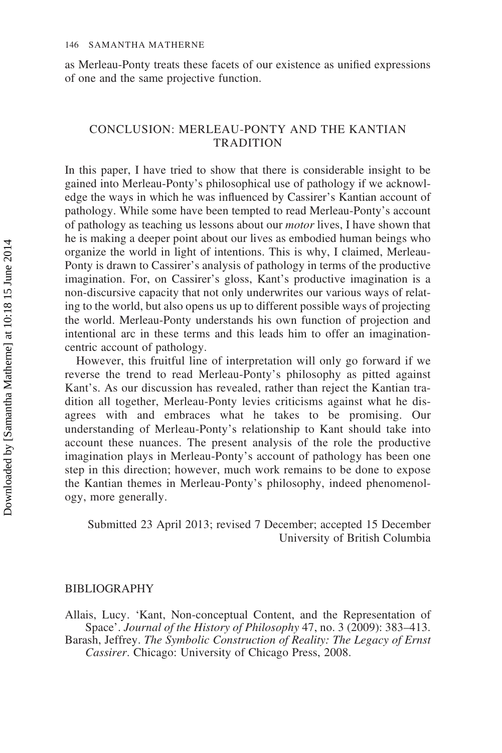as Merleau-Ponty treats these facets of our existence as unified expressions of one and the same projective function.

## CONCLUSION: MERLEAU-PONTY AND THE KANTIAN **TRADITION**

In this paper, I have tried to show that there is considerable insight to be gained into Merleau-Ponty's philosophical use of pathology if we acknowledge the ways in which he was influenced by Cassirer's Kantian account of pathology. While some have been tempted to read Merleau-Ponty's account of pathology as teaching us lessons about our motor lives, I have shown that he is making a deeper point about our lives as embodied human beings who organize the world in light of intentions. This is why, I claimed, Merleau-Ponty is drawn to Cassirer's analysis of pathology in terms of the productive imagination. For, on Cassirer's gloss, Kant's productive imagination is a non-discursive capacity that not only underwrites our various ways of relating to the world, but also opens us up to different possible ways of projecting the world. Merleau-Ponty understands his own function of projection and intentional arc in these terms and this leads him to offer an imaginationcentric account of pathology.

However, this fruitful line of interpretation will only go forward if we reverse the trend to read Merleau-Ponty's philosophy as pitted against Kant's. As our discussion has revealed, rather than reject the Kantian tradition all together, Merleau-Ponty levies criticisms against what he disagrees with and embraces what he takes to be promising. Our understanding of Merleau-Ponty's relationship to Kant should take into account these nuances. The present analysis of the role the productive imagination plays in Merleau-Ponty's account of pathology has been one step in this direction; however, much work remains to be done to expose the Kantian themes in Merleau-Ponty's philosophy, indeed phenomenology, more generally.

Submitted 23 April 2013; revised 7 December; accepted 15 December University of British Columbia

## BIBLIOGRAPHY

Allais, Lucy. 'Kant, Non-conceptual Content, and the Representation of Space'. Journal of the History of Philosophy 47, no. 3 (2009): 383–413. Barash, Jeffrey. The Symbolic Construction of Reality: The Legacy of Ernst

Cassirer. Chicago: University of Chicago Press, 2008.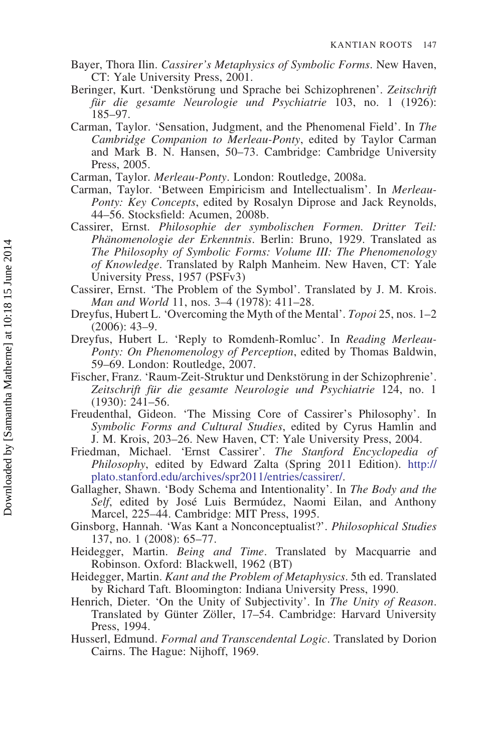- Bayer, Thora Ilin. Cassirer's Metaphysics of Symbolic Forms. New Haven, CT: Yale University Press, 2001.
- Beringer, Kurt. 'Denkstörung und Sprache bei Schizophrenen'. Zeitschrift für die gesamte Neurologie und Psychiatrie 103, no. 1 (1926): 185–97.
- Carman, Taylor. 'Sensation, Judgment, and the Phenomenal Field'. In The Cambridge Companion to Merleau-Ponty, edited by Taylor Carman and Mark B. N. Hansen, 50–73. Cambridge: Cambridge University Press, 2005.
- Carman, Taylor. Merleau-Ponty. London: Routledge, 2008a.
- Carman, Taylor. 'Between Empiricism and Intellectualism'. In Merleau-Ponty: Key Concepts, edited by Rosalyn Diprose and Jack Reynolds, 44–56. Stocksfield: Acumen, 2008b.
- Cassirer, Ernst. Philosophie der symbolischen Formen. Dritter Teil: Phänomenologie der Erkenntnis. Berlin: Bruno, 1929. Translated as The Philosophy of Symbolic Forms: Volume III: The Phenomenology of Knowledge. Translated by Ralph Manheim. New Haven, CT: Yale University Press, 1957 (PSFv3)
- Cassirer, Ernst. 'The Problem of the Symbol'. Translated by J. M. Krois. Man and World 11, nos. 3–4 (1978): 411–28.
- Dreyfus, Hubert L. 'Overcoming the Myth of the Mental'. Topoi 25, nos. 1–2 (2006): 43–9.
- Dreyfus, Hubert L. 'Reply to Romdenh-Romluc'. In Reading Merleau-Ponty: On Phenomenology of Perception, edited by Thomas Baldwin, 59–69. London: Routledge, 2007.
- Fischer, Franz. 'Raum-Zeit-Struktur und Denkstörung in der Schizophrenie'. Zeitschrift für die gesamte Neurologie und Psychiatrie 124, no. 1 (1930): 241–56.
- Freudenthal, Gideon. 'The Missing Core of Cassirer's Philosophy'. In Symbolic Forms and Cultural Studies, edited by Cyrus Hamlin and J. M. Krois, 203–26. New Haven, CT: Yale University Press, 2004.
- Friedman, Michael. 'Ernst Cassirer'. The Stanford Encyclopedia of Philosophy, edited by Edward Zalta (Spring 2011 Edition). [http://](http://plato.stanford.edu/archives/spr2011/entries/cassirer/) [plato.stanford.edu/archives/spr2011/entries/cassirer/](http://plato.stanford.edu/archives/spr2011/entries/cassirer/).
- Gallagher, Shawn. 'Body Schema and Intentionality'. In The Body and the Self, edited by José Luis Bermúdez, Naomi Eilan, and Anthony Marcel, 225–44. Cambridge: MIT Press, 1995.
- Ginsborg, Hannah. 'Was Kant a Nonconceptualist?'. Philosophical Studies 137, no. 1 (2008): 65–77.
- Heidegger, Martin. Being and Time. Translated by Macquarrie and Robinson. Oxford: Blackwell, 1962 (BT)
- Heidegger, Martin. Kant and the Problem of Metaphysics. 5th ed. Translated by Richard Taft. Bloomington: Indiana University Press, 1990.
- Henrich, Dieter. 'On the Unity of Subjectivity'. In The Unity of Reason. Translated by Günter Zöller, 17–54. Cambridge: Harvard University Press, 1994.
- Husserl, Edmund. Formal and Transcendental Logic. Translated by Dorion Cairns. The Hague: Nijhoff, 1969.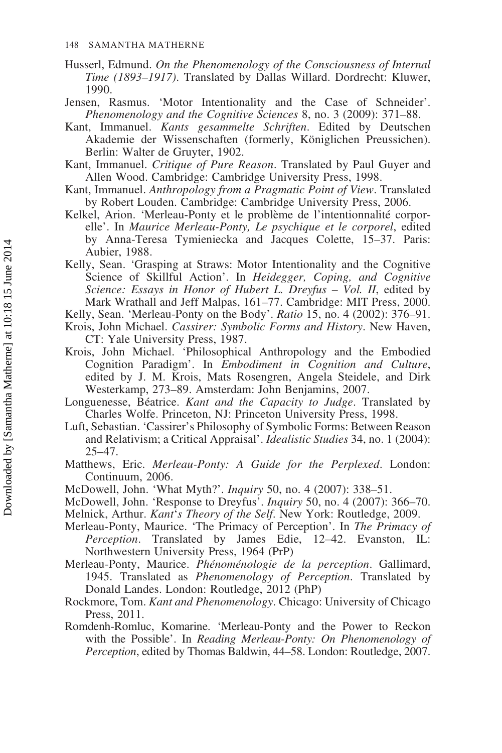- Husserl, Edmund. On the Phenomenology of the Consciousness of Internal Time (1893–1917). Translated by Dallas Willard. Dordrecht: Kluwer, 1990.
- Jensen, Rasmus. 'Motor Intentionality and the Case of Schneider'. Phenomenology and the Cognitive Sciences 8, no. 3 (2009): 371–88.
- Kant, Immanuel. Kants gesammelte Schriften. Edited by Deutschen Akademie der Wissenschaften (formerly, Königlichen Preussichen). Berlin: Walter de Gruyter, 1902.
- Kant, Immanuel. Critique of Pure Reason. Translated by Paul Guyer and Allen Wood. Cambridge: Cambridge University Press, 1998.
- Kant, Immanuel. Anthropology from a Pragmatic Point of View. Translated by Robert Louden. Cambridge: Cambridge University Press, 2006.
- Kelkel, Arion. 'Merleau-Ponty et le problème de l'intentionnalité corporelle'. In Maurice Merleau-Ponty, Le psychique et le corporel, edited by Anna-Teresa Tymieniecka and Jacques Colette, 15–37. Paris: Aubier, 1988.
- Kelly, Sean. 'Grasping at Straws: Motor Intentionality and the Cognitive Science of Skillful Action'. In Heidegger, Coping, and Cognitive Science: Essays in Honor of Hubert L. Dreyfus – Vol. II, edited by Mark Wrathall and Jeff Malpas, 161–77. Cambridge: MIT Press, 2000.
- Kelly, Sean. 'Merleau-Ponty on the Body'. Ratio 15, no. 4 (2002): 376–91.
- Krois, John Michael. Cassirer: Symbolic Forms and History. New Haven, CT: Yale University Press, 1987.
- Krois, John Michael. 'Philosophical Anthropology and the Embodied Cognition Paradigm'. In Embodiment in Cognition and Culture, edited by J. M. Krois, Mats Rosengren, Angela Steidele, and Dirk Westerkamp, 273–89. Amsterdam: John Benjamins, 2007.
- Longuenesse, Béatrice. Kant and the Capacity to Judge. Translated by Charles Wolfe. Princeton, NJ: Princeton University Press, 1998.
- Luft, Sebastian. 'Cassirer's Philosophy of Symbolic Forms: Between Reason and Relativism; a Critical Appraisal'. Idealistic Studies 34, no. 1 (2004): 25–47.
- Matthews, Eric. Merleau-Ponty: A Guide for the Perplexed. London: Continuum, 2006.
- McDowell, John. 'What Myth?'. Inquiry 50, no. 4 (2007): 338–51.
- McDowell, John. 'Response to Dreyfus'. Inquiry 50, no. 4 (2007): 366–70.
- Melnick, Arthur. Kant's Theory of the Self. New York: Routledge, 2009.
- Merleau-Ponty, Maurice. 'The Primacy of Perception'. In The Primacy of Perception. Translated by James Edie, 12–42. Evanston, IL: Northwestern University Press, 1964 (PrP)
- Merleau-Ponty, Maurice. Phénoménologie de la perception. Gallimard, 1945. Translated as Phenomenology of Perception. Translated by Donald Landes. London: Routledge, 2012 (PhP)
- Rockmore, Tom. Kant and Phenomenology. Chicago: University of Chicago Press, 2011.
- Romdenh-Romluc, Komarine. 'Merleau-Ponty and the Power to Reckon with the Possible'. In Reading Merleau-Ponty: On Phenomenology of Perception, edited by Thomas Baldwin, 44–58. London: Routledge, 2007.